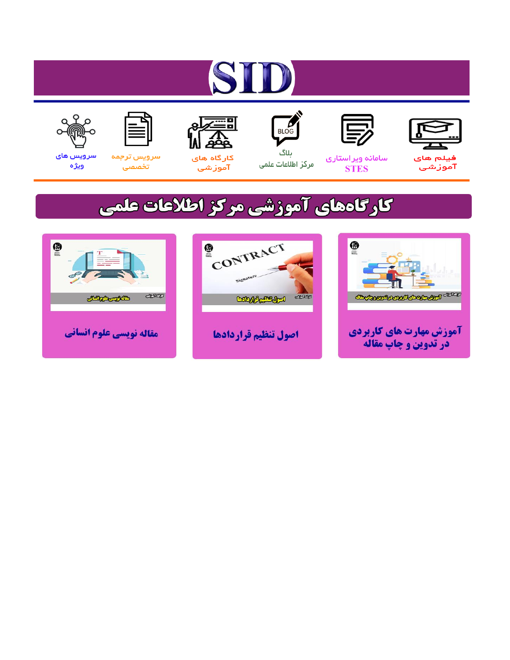# ST











مرکز اطلاعات علمی

 $\frac{1}{\sqrt{\frac{1}{100}}}$ ىلاگ



آموزشي

空

سرويس ترجمه تخصصى



سرویس های ويژه

## كارگاههای آموزشی مركز اطلاعات علمی





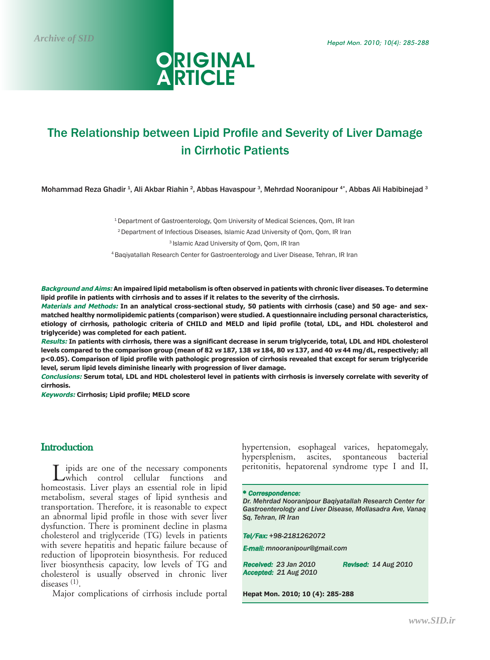

### The Relationship between Lipid Profile and Severity of Liver Damage in Cirrhotic Patients

Mohammad Reza Ghadir <sup>1</sup>, Ali Akbar Riahin <sup>2</sup>, Abbas Havaspour <sup>3</sup>, Mehrdad Nooranipour <sup>4\*</sup>, Abbas Ali Habibinejad <sup>3</sup>

<sup>1</sup> Department of Gastroenterology, Qom University of Medical Sciences, Qom, IR Iran

2 Department of Infectious Diseases, Islamic Azad University of Qom, Qom, IR Iran

3 Islamic Azad University of Qom, Qom, IR Iran

4 Baqiyatallah Research Center for Gastroenterology and Liver Disease, Tehran, IR Iran

**Background and Aims: An impaired lipid metabolism is often observed in patients with chronic liver diseases. To determine lipid profile in patients with cirrhosis and to asses if it relates to the severity of the cirrhosis.**

**Materials and Methods: In an analytical cross-sectional study, 50 patients with cirrhosis (case) and 50 age- and sexmatched healthy normolipidemic patients (comparison) were studied. A questionnaire including personal characteristics, etiology of cirrhosis, pathologic criteria of CHILD and MELD and lipid profile (total, LDL, and HDL cholesterol and triglyceride) was completed for each patient.** 

**Results: In patients with cirrhosis, there was a significant decrease in serum triglyceride, total, LDL and HDL cholesterol levels compared to the comparison group (mean of 82 vs 187, 138 vs 184, 80 vs 137, and 40 vs 44 mg/dL, respectively; all p<0.05). Comparison of lipid profile with pathologic progression of cirrhosis revealed that except for serum triglyceride level, serum lipid levels diminishe linearly with progression of liver damage.** 

**Conclusions: Serum total, LDL and HDL cholesterol level in patients with cirrhosis is inversely correlate with severity of cirrhosis.**

**Keywords: Cirrhosis; Lipid profile; MELD score**

#### **Introduction**

ipids are one of the necessary components which control cellular functions and homeostasis. Liver plays an essential role in lipid metabolism, several stages of lipid synthesis and transportation. Therefore, it is reasonable to expect an abnormal lipid profile in those with sever liver dysfunction. There is prominent decline in plasma cholesterol and triglyceride (TG) levels in patients with severe hepatitis and hepatic failure because of reduction of lipoprotein biosynthesis. For reduced liver biosynthesis capacity, low levels of TG and cholesterol is usually observed in chronic liver diseases (1).

Major complications of cirrhosis include portal

hypertension, esophageal varices, hepatomegaly, hypersplenism, ascites, spontaneous bacterial peritonitis, hepatorenal syndrome type I and II,

**\*** Correspondence:

*Dr. Mehrdad Nooranipour Baqiyatallah Research Center for Gastroenterology and Liver Disease, Mollasadra Ave, Vanaq Sq, Tehran, IR Iran*

Tel/Fax: *+98-2181262072*

E-mail: *mnooranipour@gmail.com*

Received: *23 Jan 2010* Revised: *14 Aug 2010* Accepted: *21 Aug 2010*

**Hepat Mon. 2010; 10 (4): 285-288**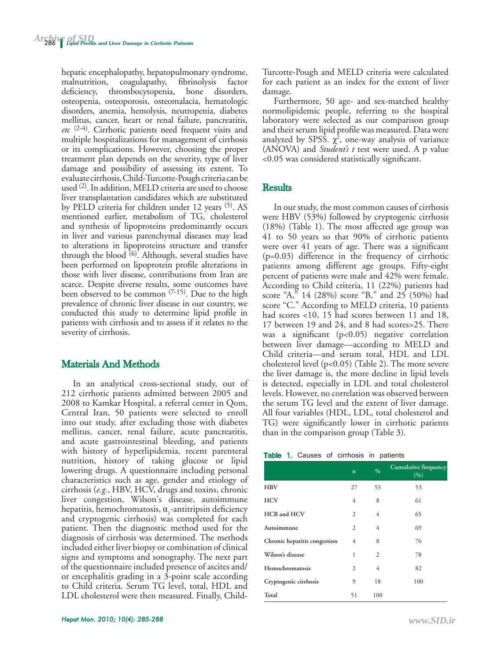hepatic encephalopathy, hepatopulmonary syndrome, malnutrition, coagulapathy, fibrinolysis factor deficiency, thrombocytopenia, bone disorders, osteopenia, osteoporosis, osteomalacia, hematologic disorders, anemia, hemolysis, neutropenia, diabetes mellitus, cancer, heart or renal failure, pancreatitis, *etc* (2-4). Cirrhotic patients need frequent visits and multiple hospitalizations for management of cirrhosis or its complications. However, choosing the proper treatment plan depends on the severity, type of liver damage and possibility of assessing its extent. To evaluate cirrhosis, Child-Turcotte-Pough criteria can be used (2). In addition, MELD criteria are used to choose liver transplantation candidates which are substituted by PELD criteria for children under 12 years <sup>(5)</sup>. AS mentioned earlier, metabolism of TG, cholesterol and synthesis of lipoproteins predominantly occurs in liver and various parenchymal diseases may lead to alterations in lipoproteins structure and transfer through the blood  $(6)$ . Although, several studies have been performed on lipoprotein profile alterations in those with liver disease, contributions from Iran are scarce. Despite diverse results, some outcomes have been observed to be common  $(7-15)$ . Due to the high prevalence of chronic liver disease in our country, we conducted this study to determine lipid profile in patients with cirrhosis and to assess if it relates to the severity of cirrhosis.

#### Materials And Methods

In an analytical cross-sectional study, out of 212 cirrhotic patients admitted between 2005 and 2008 to Kamkar Hospital, a referral center in Qom, Central Iran, 50 patients were selected to enroll into our study, after excluding those with diabetes mellitus, cancer, renal failure, acute pancreatitis, and acute gastrointestinal bleeding, and patients with history of hyperlipidemia, recent parenteral nutrition, history of taking glucose or lipid lowering drugs. A questionnaire including personal characteristics such as age, gender and etiology of cirrhosis (*e.g.*, HBV, HCV, drugs and toxins, chronic liver congestion, Wilson's disease, autoimmune hepatitis, hemochromatosis,  $\alpha_1$ -antitripsin deficiency and cryptogenic cirrhosis) was completed for each patient. Then the diagnostic method used for the diagnosis of cirrhosis was determined. The methods included either liver biopsy or combination of clinical signs and symptoms and sonography. The next part of the questionnaire included presence of ascites and/ or encephalitis grading in a 3-point scale according to Child criteria. Serum TG level, total, HDL and LDL cholesterol were then measured. Finally, ChildTurcotte-Pough and MELD criteria were calculated for each patient as an index for the extent of liver damage.

Furthermore, 50 age- and sex-matched healthy normolipidemic people, referring to the hospital laboratory were selected as our comparison group and their serum lipid profile was measured. Data were analyzed by SPSS.  $\chi^2$ , one-way analysis of variance (ANOVA) and *Student's t* test were used. A p value <0.05 was considered statistically significant.

#### **Results**

In our study, the most common causes of cirrhosis were HBV (53%) followed by cryptogenic cirrhosis (18%) (Table 1). The most affected age group was 41 to 50 years so that 90% of cirrhotic patients were over 41 years of age. There was a significant (p=0.03) difference in the frequency of cirrhotic patients among different age groups. Fifty-eight percent of patients were male and 42% were female. According to Child criteria, 11 (22%) patients had score "A," 14 (28%) score "B," and 25 (50%) had score "C." According to MELD criteria, 10 patients had scores <10, 15 had scores between 11 and 18, 17 between 19 and 24, and 8 had scores>25. There was a significant (p<0.05) negative correlation between liver damage—according to MELD and Child criteria—and serum total, HDL and LDL cholesterol level (p<0.05) (Table 2). The more severe the liver damage is, the more decline in lipid levels is detected, especially in LDL and total cholesterol levels. However, no correlation was observed between the serum TG level and the extent of liver damage. All four variables (HDL, LDL, total cholesterol and TG) were significantly lower in cirrhotic patients than in the comparison group (Table 3).

|  |  |  |  | Table 1. Causes of cirrhosis in patients |  |  |
|--|--|--|--|------------------------------------------|--|--|
|--|--|--|--|------------------------------------------|--|--|

|                              | $\mathbf n$ | $\frac{0}{0}$ | Cumulative frequency<br>(9/0) |
|------------------------------|-------------|---------------|-------------------------------|
| <b>HBV</b>                   | 27          | 53            | 53                            |
| <b>HCV</b>                   | 4           | 8             | 61                            |
| HCB and HCV                  | 2           | 4             | 65                            |
| Autoimmune                   | 2           | 4             | 69                            |
| Chronic hepatitis congestion | 4           | 8             | 76                            |
| Wilson's disease             | 1           | 2             | 78                            |
| Hemochromatosis              | 2           | 4             | 82                            |
| Cryptogenic cirrhosis        | 9           | 18            | 100                           |
| Total                        | 51          | 100           |                               |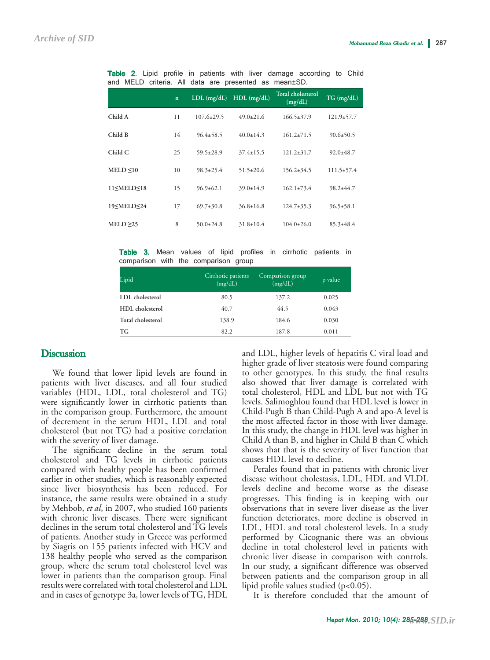|                                                                                                                                                                                        | $\mathbf{n}$ | $LDL$ (mg/dL)    | $HDL$ (mg/dL)   | <b>Total cholesterol</b><br>(mg/dL) | $TG$ (mg/dL)     |
|----------------------------------------------------------------------------------------------------------------------------------------------------------------------------------------|--------------|------------------|-----------------|-------------------------------------|------------------|
| Child A                                                                                                                                                                                | 11           | $107.6 \pm 29.5$ | $49.0 + 21.6$   | $166.5 \pm 37.9$                    | $121.9 \pm 57.7$ |
| Child B                                                                                                                                                                                | 14           | $96.4 \pm 58.5$  | $40.0 \pm 14.3$ | $161.2 \pm 71.5$                    | $90.6 \pm 50.5$  |
| Child C                                                                                                                                                                                | 25           | $59.5 \pm 28.9$  | $37.4 \pm 15.5$ | $121.2 \pm 31.7$                    | $92.0 \pm 48.7$  |
| MELD < 10                                                                                                                                                                              | 10           | $98.3 \pm 25.4$  | $51.5 \pm 20.6$ | $156.2 \pm 34.5$                    | $111.5 \pm 57.4$ |
| 11 <meld<18< th=""><th>15</th><th><math>96.9 \pm 62.1</math></th><th><math>39.0 \pm 14.9</math></th><th><math>162.1 \pm 73.4</math></th><th><math>98.2 \pm 44.7</math></th></meld<18<> | 15           | $96.9 \pm 62.1$  | $39.0 \pm 14.9$ | $162.1 \pm 73.4$                    | $98.2 \pm 44.7$  |
| 19≤MELD≤24                                                                                                                                                                             | 17           | $69.7 \pm 30.8$  | $36.8 + 16.8$   | $124.7 \pm 35.3$                    | $96.5 \pm 58.1$  |
| $MELD \geq 25$                                                                                                                                                                         | 8            | $50.0 \pm 24.8$  | $31.8 + 10.4$   | $104.0 \pm 26.0$                    | $85.3 \pm 48.4$  |

Table 2. Lipid profile in patients with liver damage according to Child and MELD criteria. All data are presented as mean±SD.

Table 3. Mean values of lipid profiles in cirrhotic patients in comparison with the comparison group

| Lipid             | Cirrhotic patients<br>(mg/dL) | Comparison group<br>(mg/dL) | p value |
|-------------------|-------------------------------|-----------------------------|---------|
| LDL cholesterol   | 80.5                          | 137.2                       | 0.025   |
| HDL cholesterol   | 40.7                          | 44.5                        | 0.043   |
| Total cholesterol | 138.9                         | 184.6                       | 0.030   |
| TG                | 82.2                          | 187.8                       | 0.011   |

#### **Discussion**

We found that lower lipid levels are found in patients with liver diseases, and all four studied variables (HDL, LDL, total cholesterol and TG) were significantly lower in cirrhotic patients than in the comparison group. Furthermore, the amount of decrement in the serum HDL, LDL and total cholesterol (but not TG) had a positive correlation with the severity of liver damage.

The significant decline in the serum total cholesterol and TG levels in cirrhotic patients compared with healthy people has been confirmed earlier in other studies, which is reasonably expected since liver biosynthesis has been reduced. For instance, the same results were obtained in a study by Mehbob, *et al*, in 2007, who studied 160 patients with chronic liver diseases. There were significant declines in the serum total cholesterol and TG levels of patients. Another study in Greece was performed by Siagris on 155 patients infected with HCV and 138 healthy people who served as the comparison group, where the serum total cholesterol level was lower in patients than the comparison group. Final results were correlated with total cholesterol and LDL and in cases of genotype 3a, lower levels of TG, HDL and LDL, higher levels of hepatitis C viral load and higher grade of liver steatosis were found comparing to other genotypes. In this study, the final results also showed that liver damage is correlated with total cholesterol, HDL and LDL but not with TG levels. Salimoghlou found that HDL level is lower in Child-Pugh B than Child-Pugh A and apo-A level is the most affected factor in those with liver damage. In this study, the change in HDL level was higher in Child A than B, and higher in Child B than C which shows that that is the severity of liver function that causes HDL level to decline.

Perales found that in patients with chronic liver disease without cholestasis, LDL, HDL and VLDL levels decline and become worse as the disease progresses. This finding is in keeping with our observations that in severe liver disease as the liver function deteriorates, more decline is observed in LDL, HDL and total cholesterol levels. In a study performed by Cicognanic there was an obvious decline in total cholesterol level in patients with chronic liver disease in comparison with controls. In our study, a significant difference was observed between patients and the comparison group in all lipid profile values studied (p<0.05).

It is therefore concluded that the amount of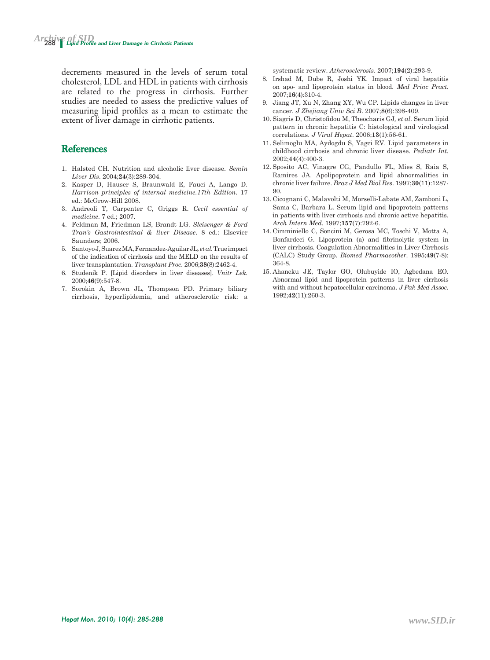decrements measured in the levels of serum total cholesterol, LDL and HDL in patients with cirrhosis are related to the progress in cirrhosis. Further studies are needed to assess the predictive values of measuring lipid profiles as a mean to estimate the extent of liver damage in cirrhotic patients.

#### **References**

- 1. Halsted CH. Nutrition and alcoholic liver disease. *Semin Liver Dis*. 2004;**24**(3):289-304.
- 2. Kasper D, Hauser S, Braunwald E, Fauci A, Lango D. *Harrison principles of internal medicine.17th Edition*. 17 ed.: McGrow-Hill 2008.
- 3. Andreoli T, Carpenter C, Griggs R. *Cecil essential of medicine*. 7 ed.; 2007.
- 4. Feldman M, Friedman LS, Brandt LG. *Sleisenger & Ford Tran's Gastrointestinal & liver Disease*. 8 ed.: Elsevier Saunders; 2006.
- 5. Santoyo J, Suarez MA, Fernandez-Aguilar JL*, et al.* True impact of the indication of cirrhosis and the MELD on the results of liver transplantation. *Transplant Proc*. 2006;**38**(8):2462-4.
- 6. Studenik P. [Lipid disorders in liver diseases]. *Vnitr Lek*. 2000;**46**(9):547-8.
- 7. Sorokin A, Brown JL, Thompson PD. Primary biliary cirrhosis, hyperlipidemia, and atherosclerotic risk: a

systematic review. *Atherosclerosis*. 2007;**194**(2):293-9.

- 8. Irshad M, Dube R, Joshi YK. Impact of viral hepatitis on apo- and lipoprotein status in blood. *Med Princ Pract*. 2007;**16**(4):310-4.
- 9. Jiang JT, Xu N, Zhang XY, Wu CP. Lipids changes in liver cancer. *J Zhejiang Univ Sci B*. 2007;**8**(6):398-409.
- 10. Siagris D, Christofidou M, Theocharis GJ*, et al.* Serum lipid pattern in chronic hepatitis C: histological and virological correlations. *J Viral Hepat*. 2006;**13**(1):56-61.
- 11. Selimoglu MA, Aydogdu S, Yagci RV. Lipid parameters in childhood cirrhosis and chronic liver disease. *Pediatr Int*. 2002;**44**(4):400-3.
- 12. Sposito AC, Vinagre CG, Pandullo FL, Mies S, Raia S, Ramires JA. Apolipoprotein and lipid abnormalities in chronic liver failure. *Braz J Med Biol Res*. 1997;**30**(11):1287- 90.
- 13. Cicognani C, Malavolti M, Morselli-Labate AM, Zamboni L, Sama C, Barbara L. Serum lipid and lipoprotein patterns in patients with liver cirrhosis and chronic active hepatitis. *Arch Intern Med*. 1997;**157**(7):792-6.
- 14. Cimminiello C, Soncini M, Gerosa MC, Toschi V, Motta A, Bonfardeci G. Lipoprotein (a) and fibrinolytic system in liver cirrhosis. Coagulation Abnormalities in Liver Cirrhosis (CALC) Study Group. *Biomed Pharmacother*. 1995;**49**(7-8): 364-8.
- 15. Ahaneku JE, Taylor GO, Olubuyide IO, Agbedana EO. Abnormal lipid and lipoprotein patterns in liver cirrhosis with and without hepatocellular carcinoma. *J Pak Med Assoc*. 1992;**42**(11):260-3.